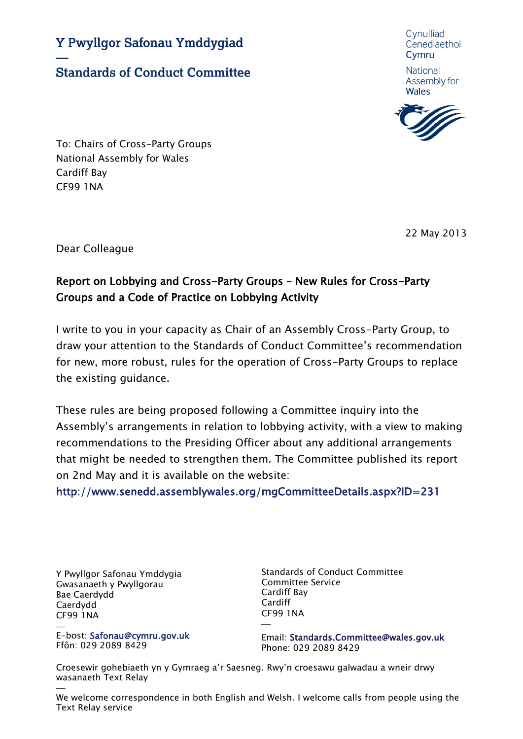Y Pwyllgor Safonau Ymddygiad

**Standards of Conduct Committee** 

Cynulliad Cenedlaethol Cymru

National Assembly for **Wales** 



To: Chairs of Cross-Party Groups National Assembly for Wales Cardiff Bay CF99 1NA

22 May 2013

Dear Colleague

## Report on Lobbying and Cross-Party Groups – New Rules for Cross-Party Groups and a Code of Practice on Lobbying Activity

I write to you in your capacity as Chair of an Assembly Cross-Party Group, to draw your attention to the Standards of Conduct Committee's recommendation for new, more robust, rules for the operation of Cross-Party Groups to replace the existing guidance.

These rules are being proposed following a Committee inquiry into the Assembly's arrangements in relation to lobbying activity, with a view to making recommendations to the Presiding Officer about any additional arrangements that might be needed to strengthen them. The Committee published its report on 2nd May and it is available on the website:

<http://www.senedd.assemblywales.org/mgCommitteeDetails.aspx?ID=231>

Y Pwyllgor Safonau Ymddygia Gwasanaeth y Pwyllgorau Bae Caerdydd Caerdydd CF99 1NA

 $\frac{1}{\sqrt{2}}$ E-bost: Safonau@cymru.gov.uk Ffôn: 029 2089 8429

Standards of Conduct Committee Committee Service Cardiff Bay Cardiff CF99 1NA  $\overline{\phantom{0}}$ 

Email: Standards.Committee@wales.gov.uk Phone: 029 2089 8429

Croesewir gohebiaeth yn y Gymraeg a'r Saesneg. Rwy'n croesawu galwadau a wneir drwy wasanaeth Text Relay

 We welcome correspondence in both English and Welsh. I welcome calls from people using the Text Relay service